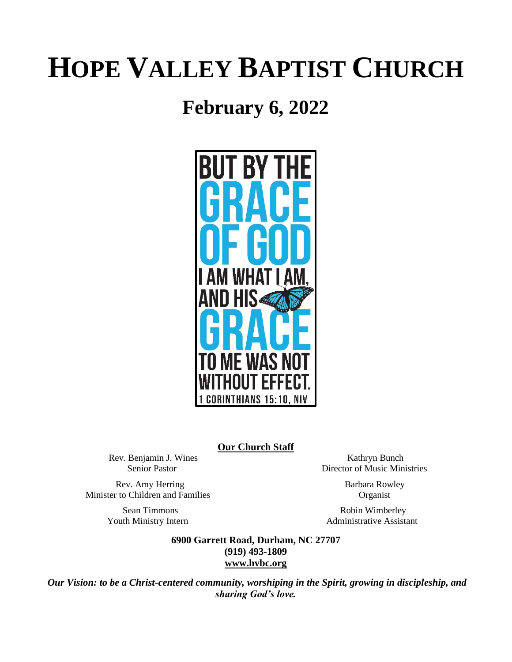# **HOPE VALLEY BAPTIST CHURCH**

# **February 6, 2022**



**Our Church Staff**

Rev. Benjamin J. Wines Kathryn Bunch

Rev. Amy Herring Barbara Rowley Minister to Children and Families Organist

Senior Pastor Director of Music Ministries

Sean Timmons Robin Wimberley Youth Ministry Intern **Administrative Assistant** 

> **6900 Garrett Road, Durham, NC 27707 (919) 493-1809 [www.hvbc.org](https://nam02.safelinks.protection.outlook.com/?url=http%3A%2F%2Fwww.hvbc.org%2F&data=04%7C01%7Crobin%40hvbc.org%7Ca1947220efe048d45f2008d90f3f5013%7C19334143b857471a909f515a9e93cce3%7C0%7C0%7C637557586922368739%7CUnknown%7CTWFpbGZsb3d8eyJWIjoiMC4wLjAwMDAiLCJQIjoiV2luMzIiLCJBTiI6Ik1haWwiLCJXVCI6Mn0%3D%7C1000&sdata=vD8UY%2Ft%2Bw4fHfO%2FGyoDO3ShGm4jsX4L5zIVu36neNyk%3D&reserved=0)**

*Our Vision: to be a Christ-centered community, worshiping in the Spirit, growing in discipleship, and sharing God's love.*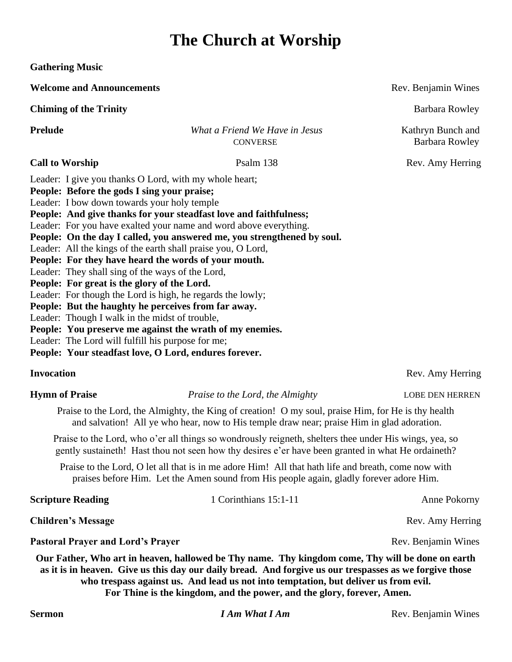# **The Church at Worship**

**Gathering Music**

**Welcome and Announcements Rev. Benjamin Wines Rev. Benjamin Wines Rev. Benjamin Wines** 

**Chiming of the Trinity** Barbara Rowley

**Prelude** *What a Friend We Have in Jesus*Kathryn Bunch and CONVERSE Barbara Rowley

Leader: I give you thanks O Lord, with my whole heart; **People: Before the gods I sing your praise;**

Leader: I bow down towards your holy temple

**People: And give thanks for your steadfast love and faithfulness;**

Leader: For you have exalted your name and word above everything.

**People: On the day I called, you answered me, you strengthened by soul.**

Leader: All the kings of the earth shall praise you, O Lord,

**People: For they have heard the words of your mouth.**

Leader: They shall sing of the ways of the Lord,

**People: For great is the glory of the Lord.**

Leader: For though the Lord is high, he regards the lowly;

**People: But the haughty he perceives from far away.**

Leader: Though I walk in the midst of trouble,

**People: You preserve me against the wrath of my enemies.**

Leader: The Lord will fulfill his purpose for me;

**People: Your steadfast love, O Lord, endures forever.**

# **Invocation Rev.** Amy Herring

**Hymn of Praise** *Praise to the Lord, the Almighty* **LOBE DEN HERREN** 

Praise to the Lord, the Almighty, the King of creation! O my soul, praise Him, for He is thy health and salvation! All ye who hear, now to His temple draw near; praise Him in glad adoration.

Praise to the Lord, who o'er all things so wondrously reigneth, shelters thee under His wings, yea, so gently sustaineth! Hast thou not seen how thy desires e'er have been granted in what He ordaineth?

Praise to the Lord, O let all that is in me adore Him! All that hath life and breath, come now with praises before Him. Let the Amen sound from His people again, gladly forever adore Him.

| <b>Scripture Reading</b>  | 1 Corinthians 15:1-11 | Anne Pokorny     |
|---------------------------|-----------------------|------------------|
| <b>Children's Message</b> |                       | Rev. Amy Herring |

**Pastoral Prayer and Lord's Prayer Rev. Benjamin Wines Rev. Benjamin Wines Rev. Benjamin Wines** 

**Our Father, Who art in heaven, hallowed be Thy name. Thy kingdom come, Thy will be done on earth as it is in heaven. Give us this day our daily bread. And forgive us our trespasses as we forgive those who trespass against us. And lead us not into temptation, but deliver us from evil. For Thine is the kingdom, and the power, and the glory, forever, Amen.**

**Call to Worship** Psalm 138 Rev. Amy Herring